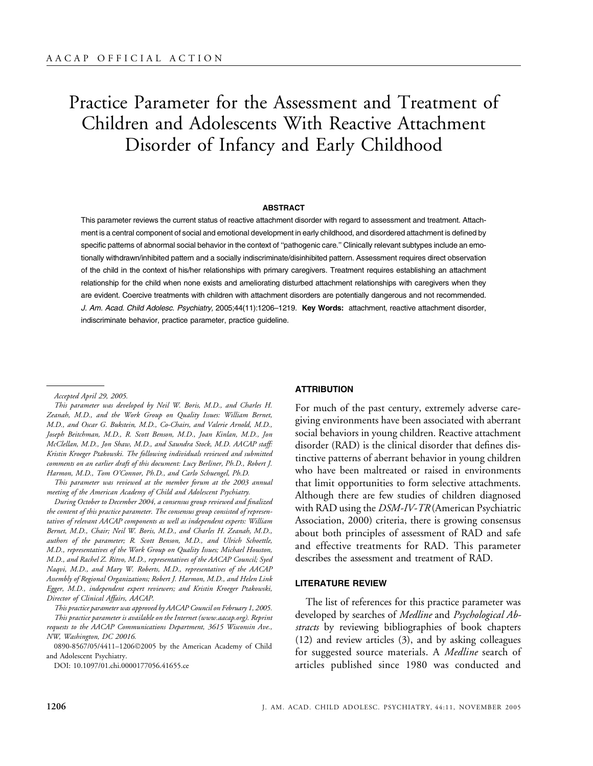# Practice Parameter for the Assessment and Treatment of Children and Adolescents With Reactive Attachment Disorder of Infancy and Early Childhood

#### **ABSTRACT**

This parameter reviews the current status of reactive attachment disorder with regard to assessment and treatment. Attachment is a central component of social and emotional development in early childhood, and disordered attachment is defined by specific patterns of abnormal social behavior in the context of ''pathogenic care.'' Clinically relevant subtypes include an emotionally withdrawn/inhibited pattern and a socially indiscriminate/disinhibited pattern. Assessment requires direct observation of the child in the context of his/her relationships with primary caregivers. Treatment requires establishing an attachment relationship for the child when none exists and ameliorating disturbed attachment relationships with caregivers when they are evident. Coercive treatments with children with attachment disorders are potentially dangerous and not recommended. J. Am. Acad. Child Adolesc. Psychiatry, 2005;44(11):1206-1219. Key Words: attachment, reactive attachment disorder, indiscriminate behavior, practice parameter, practice guideline.

Accepted April 29, 2005.

This parameter was developed by Neil W. Boris, M.D., and Charles H. Zeanah, M.D., and the Work Group on Quality Issues: William Bernet, M.D., and Oscar G. Bukstein, M.D., Co-Chairs, and Valerie Arnold, M.D., Joseph Beitchman, M.D., R. Scott Benson, M.D., Joan Kinlan, M.D., Jon McClellan, M.D., Jon Shaw, M.D., and Saundra Stock, M.D. AACAP staff: Kristin Kroeger Ptakowski. The following individuals reviewed and submitted comments on an earlier draft of this document: Lucy Berliner, Ph.D., Robert J. Harmon, M.D., Tom O'Connor, Ph.D., and Carlo Schuengel, Ph.D.

This parameter was reviewed at the member forum at the 2003 annual meeting of the American Academy of Child and Adolescent Psychiatry.

During October to December 2004, a consensus group reviewed and finalized the content of this practice parameter. The consensus group consisted of representatives of relevant AACAP components as well as independent experts: William Bernet, M.D., Chair; Neil W. Boris, M.D., and Charles H. Zeanah, M.D., authors of the parameter; R. Scott Benson, M.D., and Ulrich Schoettle, M.D., representatives of the Work Group on Quality Issues; Michael Houston, M.D., and Rachel Z. Ritvo, M.D., representatives of the AACAP Council; Syed Naqvi, M.D., and Mary W. Roberts, M.D., representatives of the AACAP Assembly of Regional Organizations; Robert J. Harmon, M.D., and Helen Link Egger, M.D., independent expert reviewers; and Kristin Kroeger Ptakowski, Director of Clinical Affairs, AACAP.

This practice parameter was approved by AACAP Council on February 1, 2005. This practice parameter is available on the Internet (www.aacap.org). Reprint requests to the AACAP Communications Department, 3615 Wisconsin Ave., NW, Washington, DC 20016.

0890-8567/05/4411–12062005 by the American Academy of Child and Adolescent Psychiatry.

DOI: 10.1097/01.chi.0000177056.41655.ce

# **ATTRIBUTION**

For much of the past century, extremely adverse caregiving environments have been associated with aberrant social behaviors in young children. Reactive attachment disorder (RAD) is the clinical disorder that defines distinctive patterns of aberrant behavior in young children who have been maltreated or raised in environments that limit opportunities to form selective attachments. Although there are few studies of children diagnosed with RAD using the *DSM-IV-TR* (American Psychiatric Association, 2000) criteria, there is growing consensus about both principles of assessment of RAD and safe and effective treatments for RAD. This parameter describes the assessment and treatment of RAD.

# LITERATURE REVIEW

The list of references for this practice parameter was developed by searches of Medline and Psychological Abstracts by reviewing bibliographies of book chapters (12) and review articles (3), and by asking colleagues for suggested source materials. A Medline search of articles published since 1980 was conducted and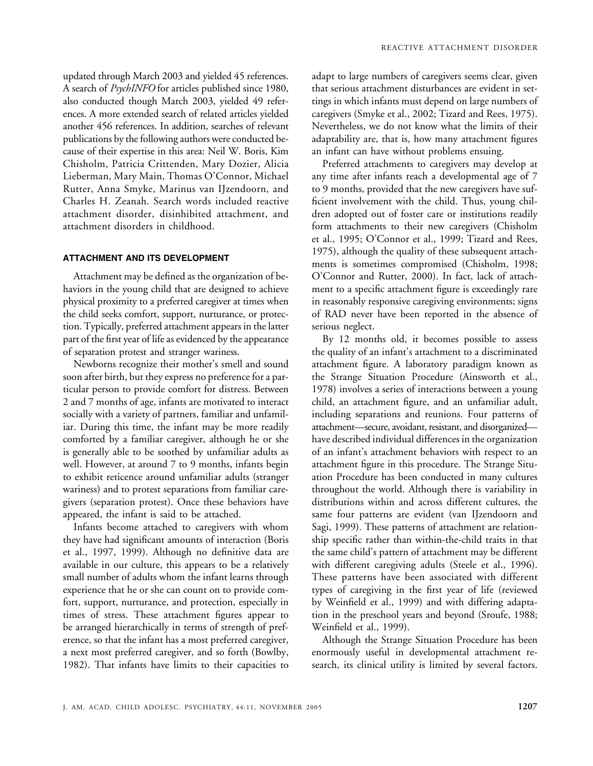updated through March 2003 and yielded 45 references. A search of PsychINFO for articles published since 1980, also conducted though March 2003, yielded 49 references. A more extended search of related articles yielded another 456 references. In addition, searches of relevant publications by the following authors were conducted because of their expertise in this area: Neil W. Boris, Kim Chisholm, Patricia Crittenden, Mary Dozier, Alicia Lieberman, Mary Main, Thomas O'Connor, Michael Rutter, Anna Smyke, Marinus van IJzendoorn, and Charles H. Zeanah. Search words included reactive

## ATTACHMENT AND ITS DEVELOPMENT

attachment disorders in childhood.

Attachment may be defined as the organization of behaviors in the young child that are designed to achieve physical proximity to a preferred caregiver at times when the child seeks comfort, support, nurturance, or protection. Typically, preferred attachment appears in the latter part of the first year of life as evidenced by the appearance of separation protest and stranger wariness.

attachment disorder, disinhibited attachment, and

Newborns recognize their mother's smell and sound soon after birth, but they express no preference for a particular person to provide comfort for distress. Between 2 and 7 months of age, infants are motivated to interact socially with a variety of partners, familiar and unfamiliar. During this time, the infant may be more readily comforted by a familiar caregiver, although he or she is generally able to be soothed by unfamiliar adults as well. However, at around 7 to 9 months, infants begin to exhibit reticence around unfamiliar adults (stranger wariness) and to protest separations from familiar caregivers (separation protest). Once these behaviors have appeared, the infant is said to be attached.

Infants become attached to caregivers with whom they have had significant amounts of interaction (Boris et al., 1997, 1999). Although no definitive data are available in our culture, this appears to be a relatively small number of adults whom the infant learns through experience that he or she can count on to provide comfort, support, nurturance, and protection, especially in times of stress. These attachment figures appear to be arranged hierarchically in terms of strength of preference, so that the infant has a most preferred caregiver, a next most preferred caregiver, and so forth (Bowlby, 1982). That infants have limits to their capacities to

adapt to large numbers of caregivers seems clear, given that serious attachment disturbances are evident in settings in which infants must depend on large numbers of caregivers (Smyke et al., 2002; Tizard and Rees, 1975). Nevertheless, we do not know what the limits of their adaptability are, that is, how many attachment figures an infant can have without problems ensuing.

Preferred attachments to caregivers may develop at any time after infants reach a developmental age of 7 to 9 months, provided that the new caregivers have sufficient involvement with the child. Thus, young children adopted out of foster care or institutions readily form attachments to their new caregivers (Chisholm et al., 1995; O'Connor et al., 1999; Tizard and Rees, 1975), although the quality of these subsequent attachments is sometimes compromised (Chisholm, 1998; O'Connor and Rutter, 2000). In fact, lack of attachment to a specific attachment figure is exceedingly rare in reasonably responsive caregiving environments; signs of RAD never have been reported in the absence of serious neglect.

By 12 months old, it becomes possible to assess the quality of an infant's attachment to a discriminated attachment figure. A laboratory paradigm known as the Strange Situation Procedure (Ainsworth et al., 1978) involves a series of interactions between a young child, an attachment figure, and an unfamiliar adult, including separations and reunions. Four patterns of attachment—secure, avoidant, resistant, and disorganized have described individual differences in the organization of an infant's attachment behaviors with respect to an attachment figure in this procedure. The Strange Situation Procedure has been conducted in many cultures throughout the world. Although there is variability in distributions within and across different cultures, the same four patterns are evident (van IJzendoorn and Sagi, 1999). These patterns of attachment are relationship specific rather than within-the-child traits in that the same child's pattern of attachment may be different with different caregiving adults (Steele et al., 1996). These patterns have been associated with different types of caregiving in the first year of life (reviewed by Weinfield et al., 1999) and with differing adaptation in the preschool years and beyond (Sroufe, 1988; Weinfield et al., 1999).

Although the Strange Situation Procedure has been enormously useful in developmental attachment research, its clinical utility is limited by several factors.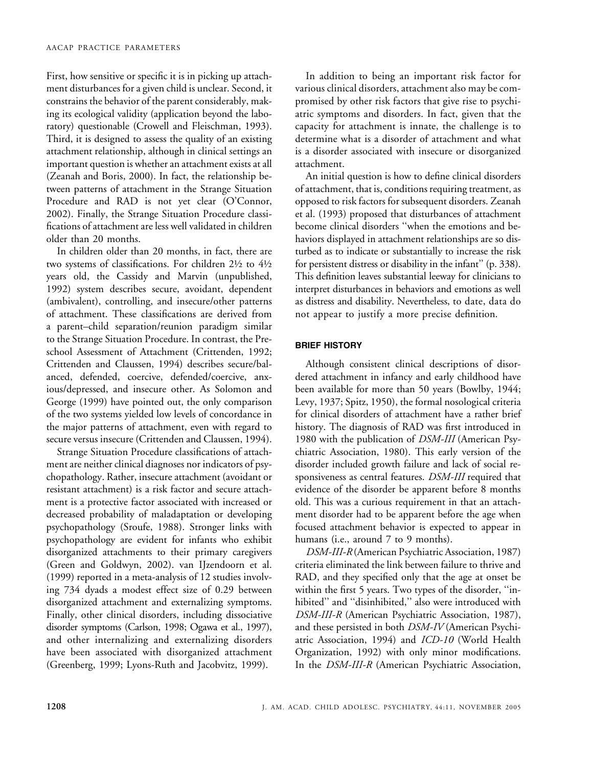First, how sensitive or specific it is in picking up attachment disturbances for a given child is unclear. Second, it constrains the behavior of the parent considerably, making its ecological validity (application beyond the laboratory) questionable (Crowell and Fleischman, 1993). Third, it is designed to assess the quality of an existing attachment relationship, although in clinical settings an important question is whether an attachment exists at all (Zeanah and Boris, 2000). In fact, the relationship between patterns of attachment in the Strange Situation Procedure and RAD is not yet clear (O'Connor, 2002). Finally, the Strange Situation Procedure classifications of attachment are less well validated in children older than 20 months.

In children older than 20 months, in fact, there are two systems of classifications. For children 2½ to 4½ years old, the Cassidy and Marvin (unpublished, 1992) system describes secure, avoidant, dependent (ambivalent), controlling, and insecure/other patterns of attachment. These classifications are derived from a parent–child separation/reunion paradigm similar to the Strange Situation Procedure. In contrast, the Preschool Assessment of Attachment (Crittenden, 1992; Crittenden and Claussen, 1994) describes secure/balanced, defended, coercive, defended/coercive, anxious/depressed, and insecure other. As Solomon and George (1999) have pointed out, the only comparison of the two systems yielded low levels of concordance in the major patterns of attachment, even with regard to secure versus insecure (Crittenden and Claussen, 1994).

Strange Situation Procedure classifications of attachment are neither clinical diagnoses nor indicators of psychopathology. Rather, insecure attachment (avoidant or resistant attachment) is a risk factor and secure attachment is a protective factor associated with increased or decreased probability of maladaptation or developing psychopathology (Sroufe, 1988). Stronger links with psychopathology are evident for infants who exhibit disorganized attachments to their primary caregivers (Green and Goldwyn, 2002). van IJzendoorn et al. (1999) reported in a meta-analysis of 12 studies involving 734 dyads a modest effect size of 0.29 between disorganized attachment and externalizing symptoms. Finally, other clinical disorders, including dissociative disorder symptoms (Carlson, 1998; Ogawa et al., 1997), and other internalizing and externalizing disorders have been associated with disorganized attachment (Greenberg, 1999; Lyons-Ruth and Jacobvitz, 1999).

In addition to being an important risk factor for various clinical disorders, attachment also may be compromised by other risk factors that give rise to psychiatric symptoms and disorders. In fact, given that the capacity for attachment is innate, the challenge is to determine what is a disorder of attachment and what is a disorder associated with insecure or disorganized attachment.

An initial question is how to define clinical disorders of attachment, that is, conditions requiring treatment, as opposed to risk factors for subsequent disorders. Zeanah et al. (1993) proposed that disturbances of attachment become clinical disorders ''when the emotions and behaviors displayed in attachment relationships are so disturbed as to indicate or substantially to increase the risk for persistent distress or disability in the infant'' (p. 338). This definition leaves substantial leeway for clinicians to interpret disturbances in behaviors and emotions as well as distress and disability. Nevertheless, to date, data do not appear to justify a more precise definition.

# BRIEF HISTORY

Although consistent clinical descriptions of disordered attachment in infancy and early childhood have been available for more than 50 years (Bowlby, 1944; Levy, 1937; Spitz, 1950), the formal nosological criteria for clinical disorders of attachment have a rather brief history. The diagnosis of RAD was first introduced in 1980 with the publication of *DSM-III* (American Psychiatric Association, 1980). This early version of the disorder included growth failure and lack of social responsiveness as central features. DSM-III required that evidence of the disorder be apparent before 8 months old. This was a curious requirement in that an attachment disorder had to be apparent before the age when focused attachment behavior is expected to appear in humans (i.e., around 7 to 9 months).

DSM-III-R (American Psychiatric Association, 1987) criteria eliminated the link between failure to thrive and RAD, and they specified only that the age at onset be within the first 5 years. Two types of the disorder, ''inhibited'' and ''disinhibited,'' also were introduced with DSM-III-R (American Psychiatric Association, 1987), and these persisted in both DSM-IV (American Psychiatric Association, 1994) and ICD-10 (World Health Organization, 1992) with only minor modifications. In the DSM-III-R (American Psychiatric Association,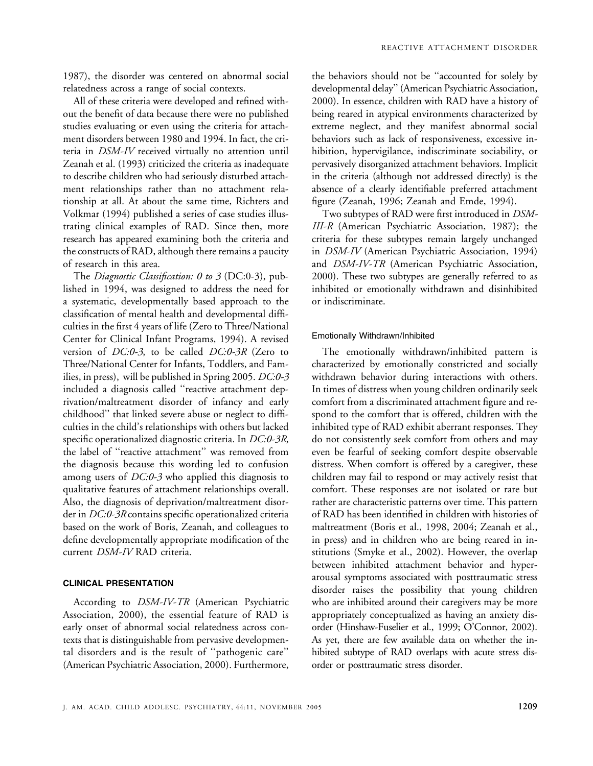1987), the disorder was centered on abnormal social relatedness across a range of social contexts.

All of these criteria were developed and refined without the benefit of data because there were no published studies evaluating or even using the criteria for attachment disorders between 1980 and 1994. In fact, the criteria in DSM-IV received virtually no attention until Zeanah et al. (1993) criticized the criteria as inadequate to describe children who had seriously disturbed attachment relationships rather than no attachment relationship at all. At about the same time, Richters and Volkmar (1994) published a series of case studies illustrating clinical examples of RAD. Since then, more research has appeared examining both the criteria and the constructs of RAD, although there remains a paucity of research in this area.

The Diagnostic Classification: 0 to 3 (DC:0-3), published in 1994, was designed to address the need for a systematic, developmentally based approach to the classification of mental health and developmental difficulties in the first 4 years of life (Zero to Three/National Center for Clinical Infant Programs, 1994). A revised version of  $DC:0-3$ , to be called  $DC:0-3R$  (Zero to Three/National Center for Infants, Toddlers, and Families, in press), will be published in Spring 2005. DC:0-3 included a diagnosis called ''reactive attachment deprivation/maltreatment disorder of infancy and early childhood'' that linked severe abuse or neglect to difficulties in the child's relationships with others but lacked specific operationalized diagnostic criteria. In DC:0-3R, the label of ''reactive attachment'' was removed from the diagnosis because this wording led to confusion among users of  $DC:0-3$  who applied this diagnosis to qualitative features of attachment relationships overall. Also, the diagnosis of deprivation/maltreatment disorder in DC:0-3R contains specific operationalized criteria based on the work of Boris, Zeanah, and colleagues to define developmentally appropriate modification of the current DSM-IV RAD criteria.

### CLINICAL PRESENTATION

According to DSM-IV-TR (American Psychiatric Association, 2000), the essential feature of RAD is early onset of abnormal social relatedness across contexts that is distinguishable from pervasive developmental disorders and is the result of ''pathogenic care'' (American Psychiatric Association, 2000). Furthermore,

the behaviors should not be ''accounted for solely by developmental delay'' (American Psychiatric Association, 2000). In essence, children with RAD have a history of being reared in atypical environments characterized by extreme neglect, and they manifest abnormal social behaviors such as lack of responsiveness, excessive inhibition, hypervigilance, indiscriminate sociability, or pervasively disorganized attachment behaviors. Implicit in the criteria (although not addressed directly) is the absence of a clearly identifiable preferred attachment figure (Zeanah, 1996; Zeanah and Emde, 1994).

Two subtypes of RAD were first introduced in DSM-III-R (American Psychiatric Association, 1987); the criteria for these subtypes remain largely unchanged in DSM-IV (American Psychiatric Association, 1994) and DSM-IV-TR (American Psychiatric Association, 2000). These two subtypes are generally referred to as inhibited or emotionally withdrawn and disinhibited or indiscriminate.

#### Emotionally Withdrawn/Inhibited

The emotionally withdrawn/inhibited pattern is characterized by emotionally constricted and socially withdrawn behavior during interactions with others. In times of distress when young children ordinarily seek comfort from a discriminated attachment figure and respond to the comfort that is offered, children with the inhibited type of RAD exhibit aberrant responses. They do not consistently seek comfort from others and may even be fearful of seeking comfort despite observable distress. When comfort is offered by a caregiver, these children may fail to respond or may actively resist that comfort. These responses are not isolated or rare but rather are characteristic patterns over time. This pattern of RAD has been identified in children with histories of maltreatment (Boris et al., 1998, 2004; Zeanah et al., in press) and in children who are being reared in institutions (Smyke et al., 2002). However, the overlap between inhibited attachment behavior and hyperarousal symptoms associated with posttraumatic stress disorder raises the possibility that young children who are inhibited around their caregivers may be more appropriately conceptualized as having an anxiety disorder (Hinshaw-Fuselier et al., 1999; O'Connor, 2002). As yet, there are few available data on whether the inhibited subtype of RAD overlaps with acute stress disorder or posttraumatic stress disorder.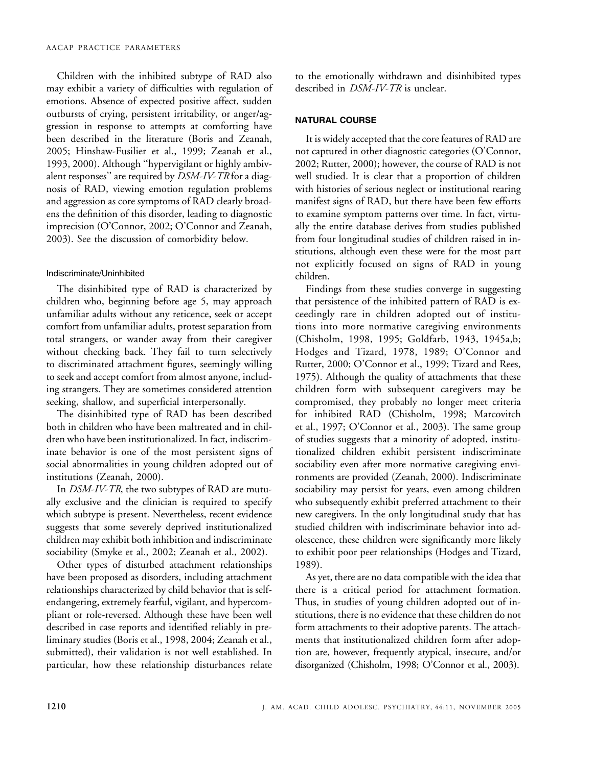Children with the inhibited subtype of RAD also may exhibit a variety of difficulties with regulation of emotions. Absence of expected positive affect, sudden outbursts of crying, persistent irritability, or anger/aggression in response to attempts at comforting have been described in the literature (Boris and Zeanah, 2005; Hinshaw-Fusilier et al., 1999; Zeanah et al., 1993, 2000). Although ''hypervigilant or highly ambivalent responses'' are required by DSM-IV-TR for a diagnosis of RAD, viewing emotion regulation problems and aggression as core symptoms of RAD clearly broadens the definition of this disorder, leading to diagnostic imprecision (O'Connor, 2002; O'Connor and Zeanah, 2003). See the discussion of comorbidity below.

### Indiscriminate/Uninhibited

The disinhibited type of RAD is characterized by children who, beginning before age 5, may approach unfamiliar adults without any reticence, seek or accept comfort from unfamiliar adults, protest separation from total strangers, or wander away from their caregiver without checking back. They fail to turn selectively to discriminated attachment figures, seemingly willing to seek and accept comfort from almost anyone, including strangers. They are sometimes considered attention seeking, shallow, and superficial interpersonally.

The disinhibited type of RAD has been described both in children who have been maltreated and in children who have been institutionalized. In fact, indiscriminate behavior is one of the most persistent signs of social abnormalities in young children adopted out of institutions (Zeanah, 2000).

In *DSM-IV-TR*, the two subtypes of RAD are mutually exclusive and the clinician is required to specify which subtype is present. Nevertheless, recent evidence suggests that some severely deprived institutionalized children may exhibit both inhibition and indiscriminate sociability (Smyke et al., 2002; Zeanah et al., 2002).

Other types of disturbed attachment relationships have been proposed as disorders, including attachment relationships characterized by child behavior that is selfendangering, extremely fearful, vigilant, and hypercompliant or role-reversed. Although these have been well described in case reports and identified reliably in preliminary studies (Boris et al., 1998, 2004; Zeanah et al., submitted), their validation is not well established. In particular, how these relationship disturbances relate to the emotionally withdrawn and disinhibited types described in DSM-IV-TR is unclear.

## NATURAL COURSE

It is widely accepted that the core features of RAD are not captured in other diagnostic categories (O'Connor, 2002; Rutter, 2000); however, the course of RAD is not well studied. It is clear that a proportion of children with histories of serious neglect or institutional rearing manifest signs of RAD, but there have been few efforts to examine symptom patterns over time. In fact, virtually the entire database derives from studies published from four longitudinal studies of children raised in institutions, although even these were for the most part not explicitly focused on signs of RAD in young children.

Findings from these studies converge in suggesting that persistence of the inhibited pattern of RAD is exceedingly rare in children adopted out of institutions into more normative caregiving environments (Chisholm, 1998, 1995; Goldfarb, 1943, 1945a,b; Hodges and Tizard, 1978, 1989; O'Connor and Rutter, 2000; O'Connor et al., 1999; Tizard and Rees, 1975). Although the quality of attachments that these children form with subsequent caregivers may be compromised, they probably no longer meet criteria for inhibited RAD (Chisholm, 1998; Marcovitch et al., 1997; O'Connor et al., 2003). The same group of studies suggests that a minority of adopted, institutionalized children exhibit persistent indiscriminate sociability even after more normative caregiving environments are provided (Zeanah, 2000). Indiscriminate sociability may persist for years, even among children who subsequently exhibit preferred attachment to their new caregivers. In the only longitudinal study that has studied children with indiscriminate behavior into adolescence, these children were significantly more likely to exhibit poor peer relationships (Hodges and Tizard, 1989).

As yet, there are no data compatible with the idea that there is a critical period for attachment formation. Thus, in studies of young children adopted out of institutions, there is no evidence that these children do not form attachments to their adoptive parents. The attachments that institutionalized children form after adoption are, however, frequently atypical, insecure, and/or disorganized (Chisholm, 1998; O'Connor et al., 2003).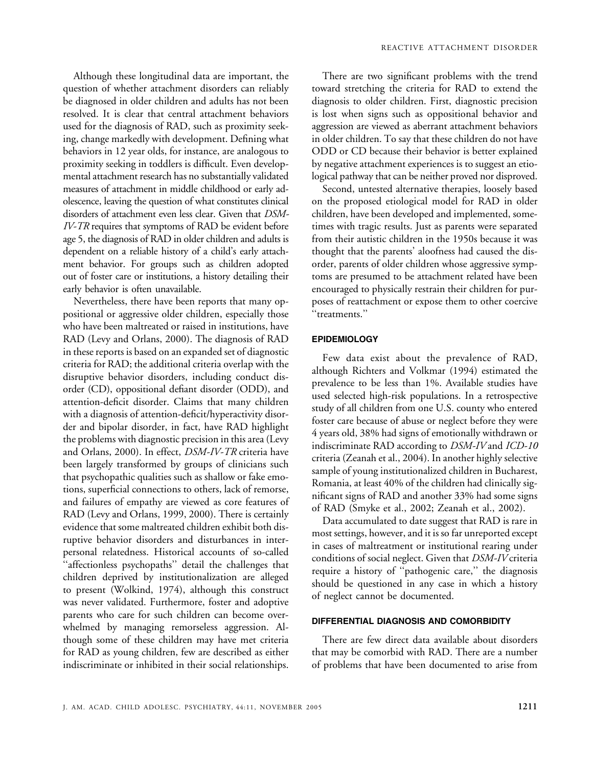Although these longitudinal data are important, the question of whether attachment disorders can reliably be diagnosed in older children and adults has not been resolved. It is clear that central attachment behaviors used for the diagnosis of RAD, such as proximity seeking, change markedly with development. Defining what behaviors in 12 year olds, for instance, are analogous to proximity seeking in toddlers is difficult. Even developmental attachment research has no substantially validated measures of attachment in middle childhood or early adolescence, leaving the question of what constitutes clinical disorders of attachment even less clear. Given that DSM-IV-TR requires that symptoms of RAD be evident before age 5, the diagnosis of RAD in older children and adults is dependent on a reliable history of a child's early attachment behavior. For groups such as children adopted out of foster care or institutions, a history detailing their early behavior is often unavailable.

Nevertheless, there have been reports that many oppositional or aggressive older children, especially those who have been maltreated or raised in institutions, have RAD (Levy and Orlans, 2000). The diagnosis of RAD in these reports is based on an expanded set of diagnostic criteria for RAD; the additional criteria overlap with the disruptive behavior disorders, including conduct disorder (CD), oppositional defiant disorder (ODD), and attention-deficit disorder. Claims that many children with a diagnosis of attention-deficit/hyperactivity disorder and bipolar disorder, in fact, have RAD highlight the problems with diagnostic precision in this area (Levy and Orlans, 2000). In effect, DSM-IV-TR criteria have been largely transformed by groups of clinicians such that psychopathic qualities such as shallow or fake emotions, superficial connections to others, lack of remorse, and failures of empathy are viewed as core features of RAD (Levy and Orlans, 1999, 2000). There is certainly evidence that some maltreated children exhibit both disruptive behavior disorders and disturbances in interpersonal relatedness. Historical accounts of so-called "affectionless psychopaths" detail the challenges that children deprived by institutionalization are alleged to present (Wolkind, 1974), although this construct was never validated. Furthermore, foster and adoptive parents who care for such children can become overwhelmed by managing remorseless aggression. Although some of these children may have met criteria for RAD as young children, few are described as either indiscriminate or inhibited in their social relationships.

There are two significant problems with the trend toward stretching the criteria for RAD to extend the diagnosis to older children. First, diagnostic precision is lost when signs such as oppositional behavior and aggression are viewed as aberrant attachment behaviors in older children. To say that these children do not have ODD or CD because their behavior is better explained by negative attachment experiences is to suggest an etiological pathway that can be neither proved nor disproved.

Second, untested alternative therapies, loosely based on the proposed etiological model for RAD in older children, have been developed and implemented, sometimes with tragic results. Just as parents were separated from their autistic children in the 1950s because it was thought that the parents' aloofness had caused the disorder, parents of older children whose aggressive symptoms are presumed to be attachment related have been encouraged to physically restrain their children for purposes of reattachment or expose them to other coercive ''treatments.''

### **EPIDEMIOLOGY**

Few data exist about the prevalence of RAD, although Richters and Volkmar (1994) estimated the prevalence to be less than 1%. Available studies have used selected high-risk populations. In a retrospective study of all children from one U.S. county who entered foster care because of abuse or neglect before they were 4 years old, 38% had signs of emotionally withdrawn or indiscriminate RAD according to DSM-IV and ICD-10 criteria (Zeanah et al., 2004). In another highly selective sample of young institutionalized children in Bucharest, Romania, at least 40% of the children had clinically significant signs of RAD and another 33% had some signs of RAD (Smyke et al., 2002; Zeanah et al., 2002).

Data accumulated to date suggest that RAD is rare in most settings, however, and it is so far unreported except in cases of maltreatment or institutional rearing under conditions of social neglect. Given that DSM-IV criteria require a history of ''pathogenic care,'' the diagnosis should be questioned in any case in which a history of neglect cannot be documented.

## DIFFERENTIAL DIAGNOSIS AND COMORBIDITY

There are few direct data available about disorders that may be comorbid with RAD. There are a number of problems that have been documented to arise from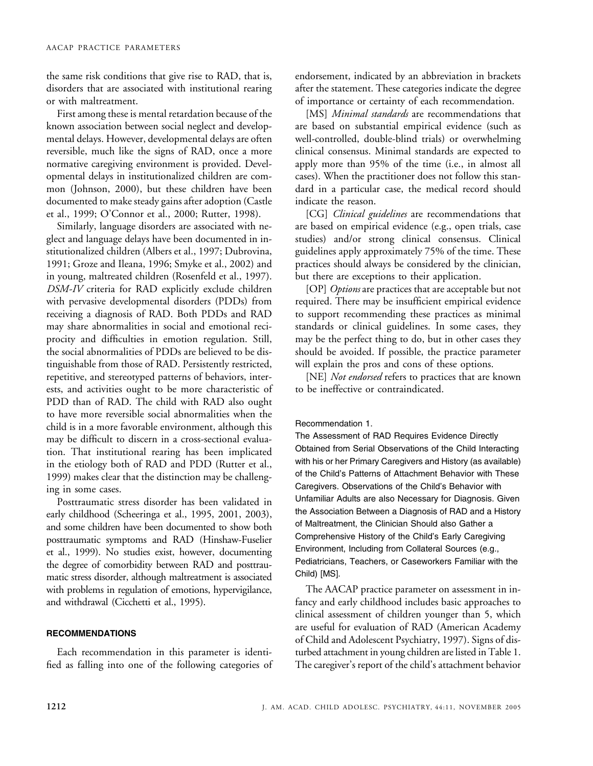the same risk conditions that give rise to RAD, that is, disorders that are associated with institutional rearing or with maltreatment.

First among these is mental retardation because of the known association between social neglect and developmental delays. However, developmental delays are often reversible, much like the signs of RAD, once a more normative caregiving environment is provided. Developmental delays in institutionalized children are common (Johnson, 2000), but these children have been documented to make steady gains after adoption (Castle et al., 1999; O'Connor et al., 2000; Rutter, 1998).

Similarly, language disorders are associated with neglect and language delays have been documented in institutionalized children (Albers et al., 1997; Dubrovina, 1991; Groze and Ileana, 1996; Smyke et al., 2002) and in young, maltreated children (Rosenfeld et al., 1997). DSM-IV criteria for RAD explicitly exclude children with pervasive developmental disorders (PDDs) from receiving a diagnosis of RAD. Both PDDs and RAD may share abnormalities in social and emotional reciprocity and difficulties in emotion regulation. Still, the social abnormalities of PDDs are believed to be distinguishable from those of RAD. Persistently restricted, repetitive, and stereotyped patterns of behaviors, interests, and activities ought to be more characteristic of PDD than of RAD. The child with RAD also ought to have more reversible social abnormalities when the child is in a more favorable environment, although this may be difficult to discern in a cross-sectional evaluation. That institutional rearing has been implicated in the etiology both of RAD and PDD (Rutter et al., 1999) makes clear that the distinction may be challenging in some cases.

Posttraumatic stress disorder has been validated in early childhood (Scheeringa et al., 1995, 2001, 2003), and some children have been documented to show both posttraumatic symptoms and RAD (Hinshaw-Fuselier et al., 1999). No studies exist, however, documenting the degree of comorbidity between RAD and posttraumatic stress disorder, although maltreatment is associated with problems in regulation of emotions, hypervigilance, and withdrawal (Cicchetti et al., 1995).

# **RECOMMENDATIONS**

Each recommendation in this parameter is identified as falling into one of the following categories of endorsement, indicated by an abbreviation in brackets after the statement. These categories indicate the degree of importance or certainty of each recommendation.

[MS] *Minimal standards* are recommendations that are based on substantial empirical evidence (such as well-controlled, double-blind trials) or overwhelming clinical consensus. Minimal standards are expected to apply more than 95% of the time (i.e., in almost all cases). When the practitioner does not follow this standard in a particular case, the medical record should indicate the reason.

[CG] *Clinical guidelines* are recommendations that are based on empirical evidence (e.g., open trials, case studies) and/or strong clinical consensus. Clinical guidelines apply approximately 75% of the time. These practices should always be considered by the clinician, but there are exceptions to their application.

[OP] *Options* are practices that are acceptable but not required. There may be insufficient empirical evidence to support recommending these practices as minimal standards or clinical guidelines. In some cases, they may be the perfect thing to do, but in other cases they should be avoided. If possible, the practice parameter will explain the pros and cons of these options.

[NE] Not endorsed refers to practices that are known to be ineffective or contraindicated.

#### Recommendation 1.

The Assessment of RAD Requires Evidence Directly Obtained from Serial Observations of the Child Interacting with his or her Primary Caregivers and History (as available) of the Child's Patterns of Attachment Behavior with These Caregivers. Observations of the Child's Behavior with Unfamiliar Adults are also Necessary for Diagnosis. Given the Association Between a Diagnosis of RAD and a History of Maltreatment, the Clinician Should also Gather a Comprehensive History of the Child's Early Caregiving Environment, Including from Collateral Sources (e.g., Pediatricians, Teachers, or Caseworkers Familiar with the Child) [MS].

The AACAP practice parameter on assessment in infancy and early childhood includes basic approaches to clinical assessment of children younger than 5, which are useful for evaluation of RAD (American Academy of Child and Adolescent Psychiatry, 1997). Signs of disturbed attachment in young children are listed in Table 1. The caregiver's report of the child's attachment behavior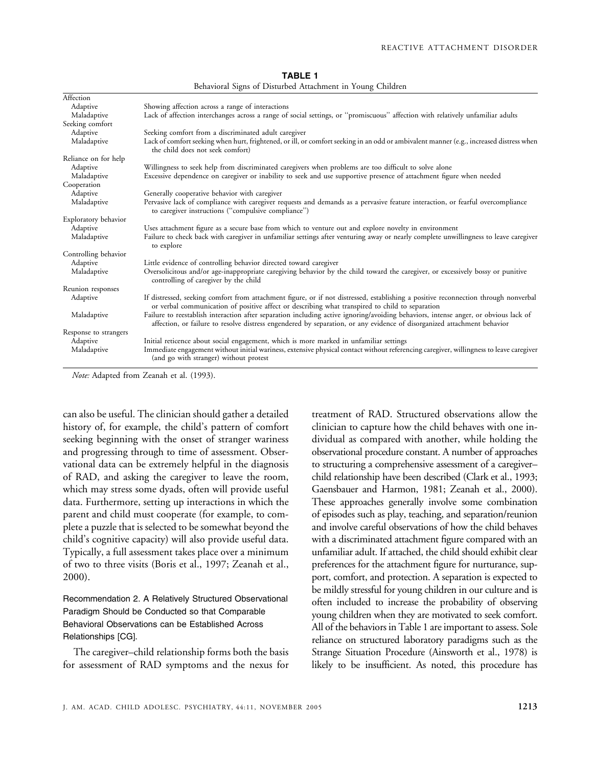| Affection             |                                                                                                                                                                                                                                                                |
|-----------------------|----------------------------------------------------------------------------------------------------------------------------------------------------------------------------------------------------------------------------------------------------------------|
| Adaptive              | Showing affection across a range of interactions                                                                                                                                                                                                               |
| Maladaptive           | Lack of affection interchanges across a range of social settings, or "promiscuous" affection with relatively unfamiliar adults                                                                                                                                 |
| Seeking comfort       |                                                                                                                                                                                                                                                                |
| Adaptive              | Seeking comfort from a discriminated adult caregiver                                                                                                                                                                                                           |
| Maladaptive           | Lack of comfort seeking when hurt, frightened, or ill, or comfort seeking in an odd or ambivalent manner (e.g., increased distress when<br>the child does not seek comfort)                                                                                    |
| Reliance on for help  |                                                                                                                                                                                                                                                                |
| Adaptive              | Willingness to seek help from discriminated caregivers when problems are too difficult to solve alone                                                                                                                                                          |
| Maladaptive           | Excessive dependence on caregiver or inability to seek and use supportive presence of attachment figure when needed                                                                                                                                            |
| Cooperation           |                                                                                                                                                                                                                                                                |
| Adaptive              | Generally cooperative behavior with caregiver                                                                                                                                                                                                                  |
| Maladaptive           | Pervasive lack of compliance with caregiver requests and demands as a pervasive feature interaction, or fearful overcompliance<br>to caregiver instructions ("compulsive compliance")                                                                          |
| Exploratory behavior  |                                                                                                                                                                                                                                                                |
| Adaptive              | Uses attachment figure as a secure base from which to venture out and explore novelty in environment                                                                                                                                                           |
| Maladaptive           | Failure to check back with caregiver in unfamiliar settings after venturing away or nearly complete unwillingness to leave caregiver<br>to explore                                                                                                             |
| Controlling behavior  |                                                                                                                                                                                                                                                                |
| Adaptive              | Little evidence of controlling behavior directed toward caregiver                                                                                                                                                                                              |
| Maladaptive           | Oversolicitous and/or age-inappropriate caregiving behavior by the child toward the caregiver, or excessively bossy or punitive<br>controlling of caregiver by the child                                                                                       |
| Reunion responses     |                                                                                                                                                                                                                                                                |
| Adaptive              | If distressed, seeking comfort from attachment figure, or if not distressed, establishing a positive reconnection through nonverbal<br>or verbal communication of positive affect or describing what transpired to child to separation                         |
| Maladaptive           | Failure to reestablish interaction after separation including active ignoring/avoiding behaviors, intense anger, or obvious lack of<br>affection, or failure to resolve distress engendered by separation, or any evidence of disorganized attachment behavior |
| Response to strangers |                                                                                                                                                                                                                                                                |
| Adaptive              | Initial reticence about social engagement, which is more marked in unfamiliar settings                                                                                                                                                                         |
| Maladaptive           | Immediate engagement without initial wariness, extensive physical contact without referencing caregiver, willingness to leave caregiver<br>(and go with stranger) without protest                                                                              |

TABLE 1 Behavioral Signs of Disturbed Attachment in Young Children

Note: Adapted from Zeanah et al. (1993).

can also be useful. The clinician should gather a detailed history of, for example, the child's pattern of comfort seeking beginning with the onset of stranger wariness and progressing through to time of assessment. Observational data can be extremely helpful in the diagnosis of RAD, and asking the caregiver to leave the room, which may stress some dyads, often will provide useful data. Furthermore, setting up interactions in which the parent and child must cooperate (for example, to complete a puzzle that is selected to be somewhat beyond the child's cognitive capacity) will also provide useful data. Typically, a full assessment takes place over a minimum of two to three visits (Boris et al., 1997; Zeanah et al., 2000).

Recommendation 2. A Relatively Structured Observational Paradigm Should be Conducted so that Comparable Behavioral Observations can be Established Across Relationships [CG].

The caregiver–child relationship forms both the basis for assessment of RAD symptoms and the nexus for

treatment of RAD. Structured observations allow the clinician to capture how the child behaves with one individual as compared with another, while holding the observational procedure constant. A number of approaches to structuring a comprehensive assessment of a caregiver– child relationship have been described (Clark et al., 1993; Gaensbauer and Harmon, 1981; Zeanah et al., 2000). These approaches generally involve some combination of episodes such as play, teaching, and separation/reunion and involve careful observations of how the child behaves with a discriminated attachment figure compared with an unfamiliar adult. If attached, the child should exhibit clear preferences for the attachment figure for nurturance, support, comfort, and protection. A separation is expected to be mildly stressful for young children in our culture and is often included to increase the probability of observing young children when they are motivated to seek comfort. All of the behaviors in Table 1 are important to assess. Sole reliance on structured laboratory paradigms such as the Strange Situation Procedure (Ainsworth et al., 1978) is likely to be insufficient. As noted, this procedure has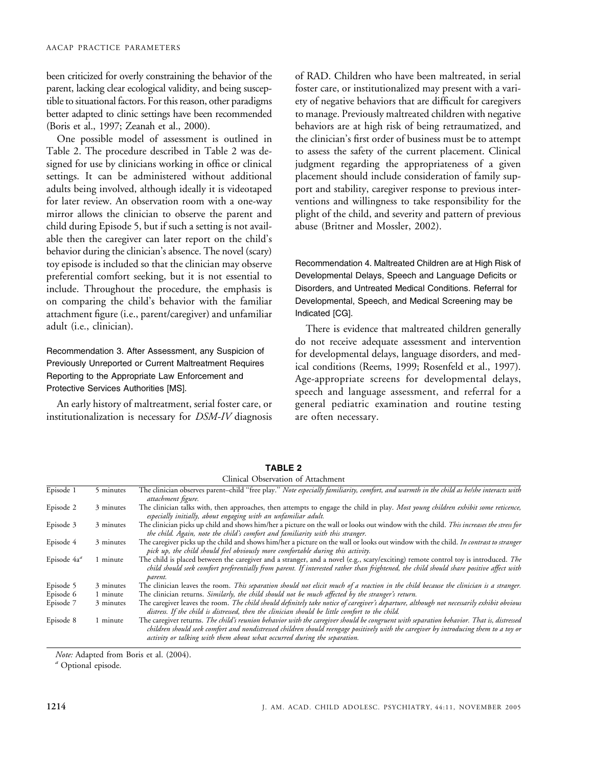been criticized for overly constraining the behavior of the parent, lacking clear ecological validity, and being susceptible to situational factors. For this reason, other paradigms better adapted to clinic settings have been recommended (Boris et al., 1997; Zeanah et al., 2000).

One possible model of assessment is outlined in Table 2. The procedure described in Table 2 was designed for use by clinicians working in office or clinical settings. It can be administered without additional adults being involved, although ideally it is videotaped for later review. An observation room with a one-way mirror allows the clinician to observe the parent and child during Episode 5, but if such a setting is not available then the caregiver can later report on the child's behavior during the clinician's absence. The novel (scary) toy episode is included so that the clinician may observe preferential comfort seeking, but it is not essential to include. Throughout the procedure, the emphasis is on comparing the child's behavior with the familiar attachment figure (i.e., parent/caregiver) and unfamiliar adult (i.e., clinician).

Recommendation 3. After Assessment, any Suspicion of Previously Unreported or Current Maltreatment Requires Reporting to the Appropriate Law Enforcement and Protective Services Authorities [MS].

An early history of maltreatment, serial foster care, or institutionalization is necessary for DSM-IV diagnosis of RAD. Children who have been maltreated, in serial foster care, or institutionalized may present with a variety of negative behaviors that are difficult for caregivers to manage. Previously maltreated children with negative behaviors are at high risk of being retraumatized, and the clinician's first order of business must be to attempt to assess the safety of the current placement. Clinical judgment regarding the appropriateness of a given placement should include consideration of family support and stability, caregiver response to previous interventions and willingness to take responsibility for the plight of the child, and severity and pattern of previous abuse (Britner and Mossler, 2002).

Recommendation 4. Maltreated Children are at High Risk of Developmental Delays, Speech and Language Deficits or Disorders, and Untreated Medical Conditions. Referral for Developmental, Speech, and Medical Screening may be Indicated [CG].

There is evidence that maltreated children generally do not receive adequate assessment and intervention for developmental delays, language disorders, and medical conditions (Reems, 1999; Rosenfeld et al., 1997). Age-appropriate screens for developmental delays, speech and language assessment, and referral for a general pediatric examination and routine testing are often necessary.

| Clinical Observation of Attachment |           |                                                                                                                                                                                                                                                                                                                                                               |
|------------------------------------|-----------|---------------------------------------------------------------------------------------------------------------------------------------------------------------------------------------------------------------------------------------------------------------------------------------------------------------------------------------------------------------|
| Episode 1                          | 5 minutes | The clinician observes parent-child "free play." Note especially familiarity, comfort, and warmth in the child as helshe interacts with<br>attachment figure.                                                                                                                                                                                                 |
| Episode 2                          | 3 minutes | The clinician talks with, then approaches, then attempts to engage the child in play. Most young children exhibit some reticence,<br>especially initially, about engaging with an unfamiliar adult.                                                                                                                                                           |
| Episode 3                          | 3 minutes | The clinician picks up child and shows him/her a picture on the wall or looks out window with the child. This increases the stress for<br>the child. Again, note the child's comfort and familiarity with this stranger.                                                                                                                                      |
| Episode 4                          | 3 minutes | The caregiver picks up the child and shows him/her a picture on the wall or looks out window with the child. In contrast to stranger<br>pick up, the child should feel obviously more comfortable during this activity.                                                                                                                                       |
| Episode 4a <sup>a</sup>            | 1 minute  | The child is placed between the caregiver and a stranger, and a novel (e.g., scary/exciting) remote control toy is introduced. The<br>child should seek comfort preferentially from parent. If interested rather than frightened, the child should share positive affect with<br>parent.                                                                      |
| Episode 5                          | 3 minutes | The clinician leaves the room. This separation should not elicit much of a reaction in the child because the clinician is a stranger.                                                                                                                                                                                                                         |
| Episode 6                          | 1 minute  | The clinician returns. Similarly, the child should not be much affected by the stranger's return.                                                                                                                                                                                                                                                             |
| Episode 7                          | 3 minutes | The caregiver leaves the room. The child should definitely take notice of caregiver's departure, although not necessarily exhibit obvious<br>distress. If the child is distressed, then the clinician should be little comfort to the child.                                                                                                                  |
| Episode 8                          | 1 minute  | The caregiver returns. The child's reunion behavior with the caregiver should be congruent with separation behavior. That is, distressed<br>children should seek comfort and nondistressed children should reengage positively with the caregiver by introducing them to a toy or<br>activity or talking with them about what occurred during the separation. |

TABLE 2

Note: Adapted from Boris et al. (2004).<br><sup>a</sup> Optional episode.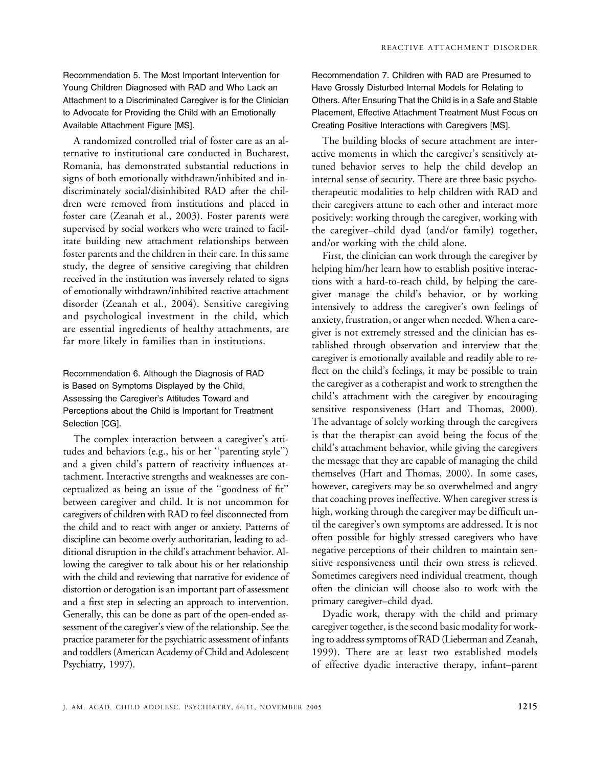A randomized controlled trial of foster care as an alternative to institutional care conducted in Bucharest, Romania, has demonstrated substantial reductions in signs of both emotionally withdrawn/inhibited and indiscriminately social/disinhibited RAD after the children were removed from institutions and placed in foster care (Zeanah et al., 2003). Foster parents were supervised by social workers who were trained to facilitate building new attachment relationships between foster parents and the children in their care. In this same study, the degree of sensitive caregiving that children received in the institution was inversely related to signs of emotionally withdrawn/inhibited reactive attachment disorder (Zeanah et al., 2004). Sensitive caregiving and psychological investment in the child, which are essential ingredients of healthy attachments, are far more likely in families than in institutions.

# Recommendation 6. Although the Diagnosis of RAD is Based on Symptoms Displayed by the Child, Assessing the Caregiver's Attitudes Toward and Perceptions about the Child is Important for Treatment Selection [CG].

The complex interaction between a caregiver's attitudes and behaviors (e.g., his or her ''parenting style'') and a given child's pattern of reactivity influences attachment. Interactive strengths and weaknesses are conceptualized as being an issue of the ''goodness of fit'' between caregiver and child. It is not uncommon for caregivers of children with RAD to feel disconnected from the child and to react with anger or anxiety. Patterns of discipline can become overly authoritarian, leading to additional disruption in the child's attachment behavior. Allowing the caregiver to talk about his or her relationship with the child and reviewing that narrative for evidence of distortion or derogation is an important part of assessment and a first step in selecting an approach to intervention. Generally, this can be done as part of the open-ended assessment of the caregiver's view of the relationship. See the practice parameter for the psychiatric assessment of infants and toddlers (American Academy of Child and Adolescent Psychiatry, 1997).

Recommendation 7. Children with RAD are Presumed to Have Grossly Disturbed Internal Models for Relating to Others. After Ensuring That the Child is in a Safe and Stable Placement, Effective Attachment Treatment Must Focus on Creating Positive Interactions with Caregivers [MS].

The building blocks of secure attachment are interactive moments in which the caregiver's sensitively attuned behavior serves to help the child develop an internal sense of security. There are three basic psychotherapeutic modalities to help children with RAD and their caregivers attune to each other and interact more positively: working through the caregiver, working with the caregiver–child dyad (and/or family) together, and/or working with the child alone.

First, the clinician can work through the caregiver by helping him/her learn how to establish positive interactions with a hard-to-reach child, by helping the caregiver manage the child's behavior, or by working intensively to address the caregiver's own feelings of anxiety, frustration, or anger when needed. When a caregiver is not extremely stressed and the clinician has established through observation and interview that the caregiver is emotionally available and readily able to reflect on the child's feelings, it may be possible to train the caregiver as a cotherapist and work to strengthen the child's attachment with the caregiver by encouraging sensitive responsiveness (Hart and Thomas, 2000). The advantage of solely working through the caregivers is that the therapist can avoid being the focus of the child's attachment behavior, while giving the caregivers the message that they are capable of managing the child themselves (Hart and Thomas, 2000). In some cases, however, caregivers may be so overwhelmed and angry that coaching proves ineffective. When caregiver stress is high, working through the caregiver may be difficult until the caregiver's own symptoms are addressed. It is not often possible for highly stressed caregivers who have negative perceptions of their children to maintain sensitive responsiveness until their own stress is relieved. Sometimes caregivers need individual treatment, though often the clinician will choose also to work with the primary caregiver–child dyad.

Dyadic work, therapy with the child and primary caregiver together, is the second basic modality for working to address symptoms of RAD (Lieberman and Zeanah, 1999). There are at least two established models of effective dyadic interactive therapy, infant–parent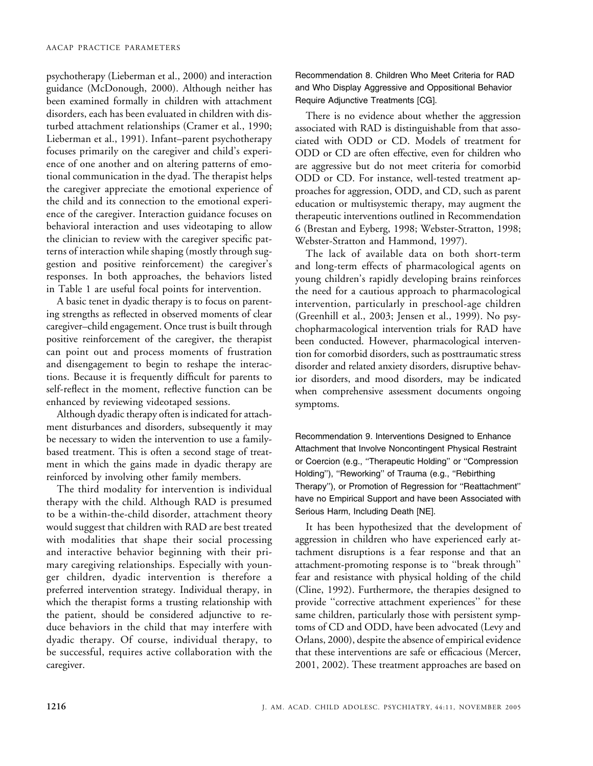psychotherapy (Lieberman et al., 2000) and interaction guidance (McDonough, 2000). Although neither has been examined formally in children with attachment disorders, each has been evaluated in children with disturbed attachment relationships (Cramer et al., 1990; Lieberman et al., 1991). Infant–parent psychotherapy focuses primarily on the caregiver and child's experience of one another and on altering patterns of emotional communication in the dyad. The therapist helps the caregiver appreciate the emotional experience of the child and its connection to the emotional experience of the caregiver. Interaction guidance focuses on behavioral interaction and uses videotaping to allow the clinician to review with the caregiver specific patterns of interaction while shaping (mostly through suggestion and positive reinforcement) the caregiver's responses. In both approaches, the behaviors listed in Table 1 are useful focal points for intervention.

A basic tenet in dyadic therapy is to focus on parenting strengths as reflected in observed moments of clear caregiver–child engagement. Once trust is built through positive reinforcement of the caregiver, the therapist can point out and process moments of frustration and disengagement to begin to reshape the interactions. Because it is frequently difficult for parents to self-reflect in the moment, reflective function can be enhanced by reviewing videotaped sessions.

Although dyadic therapy often is indicated for attachment disturbances and disorders, subsequently it may be necessary to widen the intervention to use a familybased treatment. This is often a second stage of treatment in which the gains made in dyadic therapy are reinforced by involving other family members.

The third modality for intervention is individual therapy with the child. Although RAD is presumed to be a within-the-child disorder, attachment theory would suggest that children with RAD are best treated with modalities that shape their social processing and interactive behavior beginning with their primary caregiving relationships. Especially with younger children, dyadic intervention is therefore a preferred intervention strategy. Individual therapy, in which the therapist forms a trusting relationship with the patient, should be considered adjunctive to reduce behaviors in the child that may interfere with dyadic therapy. Of course, individual therapy, to be successful, requires active collaboration with the caregiver.

Recommendation 8. Children Who Meet Criteria for RAD and Who Display Aggressive and Oppositional Behavior Require Adjunctive Treatments [CG].

There is no evidence about whether the aggression associated with RAD is distinguishable from that associated with ODD or CD. Models of treatment for ODD or CD are often effective, even for children who are aggressive but do not meet criteria for comorbid ODD or CD. For instance, well-tested treatment approaches for aggression, ODD, and CD, such as parent education or multisystemic therapy, may augment the therapeutic interventions outlined in Recommendation 6 (Brestan and Eyberg, 1998; Webster-Stratton, 1998; Webster-Stratton and Hammond, 1997).

The lack of available data on both short-term and long-term effects of pharmacological agents on young children's rapidly developing brains reinforces the need for a cautious approach to pharmacological intervention, particularly in preschool-age children (Greenhill et al., 2003; Jensen et al., 1999). No psychopharmacological intervention trials for RAD have been conducted. However, pharmacological intervention for comorbid disorders, such as posttraumatic stress disorder and related anxiety disorders, disruptive behavior disorders, and mood disorders, may be indicated when comprehensive assessment documents ongoing symptoms.

Recommendation 9. Interventions Designed to Enhance Attachment that Involve Noncontingent Physical Restraint or Coercion (e.g., ''Therapeutic Holding'' or ''Compression Holding"), "Reworking" of Trauma (e.g., "Rebirthing Therapy''), or Promotion of Regression for ''Reattachment'' have no Empirical Support and have been Associated with Serious Harm, Including Death [NE].

It has been hypothesized that the development of aggression in children who have experienced early attachment disruptions is a fear response and that an attachment-promoting response is to ''break through'' fear and resistance with physical holding of the child (Cline, 1992). Furthermore, the therapies designed to provide ''corrective attachment experiences'' for these same children, particularly those with persistent symptoms of CD and ODD, have been advocated (Levy and Orlans, 2000), despite the absence of empirical evidence that these interventions are safe or efficacious (Mercer, 2001, 2002). These treatment approaches are based on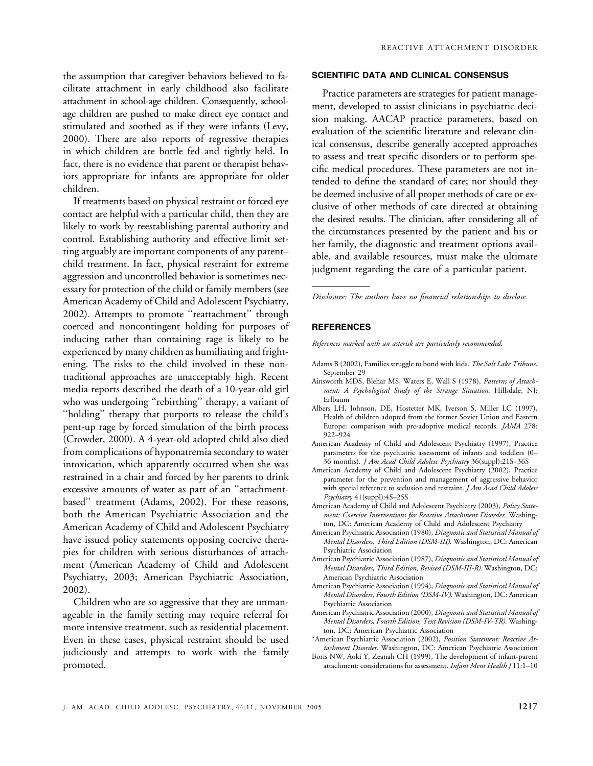the assumption that caregiver behaviors believed to facilitate attachment in early childhood also facilitate attachment in school-age children. Consequently, schoolage children are pushed to make direct eye contact and stimulated and soothed as if they were infants (Levy, 2000). There are also reports of regressive therapies in which children are bottle fed and tightly held. In fact, there is no evidence that parent or therapist behaviors appropriate for infants are appropriate for older children.

If treatments based on physical restraint or forced eye contact are helpful with a particular child, then they are likely to work by reestablishing parental authority and control. Establishing authority and effective limit setting arguably are important components of any parent– child treatment. In fact, physical restraint for extreme aggression and uncontrolled behavior is sometimes necessary for protection of the child or family members (see American Academy of Child and Adolescent Psychiatry, 2002). Attempts to promote ''reattachment'' through coerced and noncontingent holding for purposes of inducing rather than containing rage is likely to be experienced by many children as humiliating and frightening. The risks to the child involved in these nontraditional approaches are unacceptably high. Recent media reports described the death of a 10-year-old girl who was undergoing ''rebirthing'' therapy, a variant of "holding" therapy that purports to release the child's pent-up rage by forced simulation of the birth process (Crowder, 2000). A 4-year-old adopted child also died from complications of hyponatremia secondary to water intoxication, which apparently occurred when she was restrained in a chair and forced by her parents to drink excessive amounts of water as part of an ''attachmentbased'' treatment (Adams, 2002). For these reasons, both the American Psychiatric Association and the American Academy of Child and Adolescent Psychiatry have issued policy statements opposing coercive therapies for children with serious disturbances of attachment (American Academy of Child and Adolescent Psychiatry, 2003; American Psychiatric Association, 2002).

Children who are so aggressive that they are unmanageable in the family setting may require referral for more intensive treatment, such as residential placement. Even in these cases, physical restraint should be used judiciously and attempts to work with the family promoted.

## SCIENTIFIC DATA AND CLINICAL CONSENSUS

Practice parameters are strategies for patient management, developed to assist clinicians in psychiatric decision making. AACAP practice parameters, based on evaluation of the scientific literature and relevant clinical consensus, describe generally accepted approaches to assess and treat specific disorders or to perform specific medical procedures. These parameters are not intended to define the standard of care; nor should they be deemed inclusive of all proper methods of care or exclusive of other methods of care directed at obtaining the desired results. The clinician, after considering all of the circumstances presented by the patient and his or her family, the diagnostic and treatment options available, and available resources, must make the ultimate judgment regarding the care of a particular patient.

Disclosure: The authors have no financial relationships to disclose.

## **REFERENCES**

References marked with an asterisk are particularly recommended.

- Adams B (2002), Families struggle to bond with kids. The Salt Lake Tribune. September 29
- Ainsworth MDS, Blehar MS, Waters E, Wall S (1978), Patterns of Attachment: A Psychological Study of the Strange Situation. Hillsdale, NJ: Erlbaum
- Albers LH, Johnson, DE, Hostetter MK, Iverson S, Miller LC (1997), Health of children adopted from the former Soviet Union and Eastern Europe: comparison with pre-adoptive medical records. JAMA 278: 922–924
- American Academy of Child and Adolescent Psychiatry (1997), Practice parameters for the psychiatric assessment of infants and toddlers (0– 36 months). J Am Acad Child Adolesc Psychiatry 36(suppl):21S–36S
- American Academy of Child and Adolescent Psychiatry (2002), Practice parameter for the prevention and management of aggressive behavior with special reference to seclusion and restraint. J Am Acad Child Adolesc Psychiatry 41(suppl):4S–25S
- American Academy of Child and Adolescent Psychiatry (2003), Policy Statement: Coercive Interventions for Reactive Attachment Disorder. Washington, DC: American Academy of Child and Adolescent Psychiatry
- American Psychiatric Association (1980), Diagnostic and Statistical Manual of Mental Disorders, Third Edition (DSM-III). Washington, DC: American Psychiatric Association
- American Psychiatric Association (1987), Diagnostic and Statistical Manual of Mental Disorders, Third Edition, Revised (DSM-III-R). Washington, DC: American Psychiatric Association
- American Psychiatric Association (1994), Diagnostic and Statistical Manual of Mental Disorders, Fourth Edition (DSM-IV). Washington, DC: American Psychiatric Association
- American Psychiatric Association (2000), Diagnostic and Statistical Manual of Mental Disorders, Fourth Edition, Text Revision (DSM-IV-TR). Washington, DC: American Psychiatric Association
- \*American Psychiatric Association (2002), Position Statement: Reactive Attachment Disorder. Washington, DC: American Psychiatric Association
- Boris NW, Aoki Y, Zeanah CH (1999), The development of infant-parent attachment: considerations for assessment. Infant Ment Health J11:1-10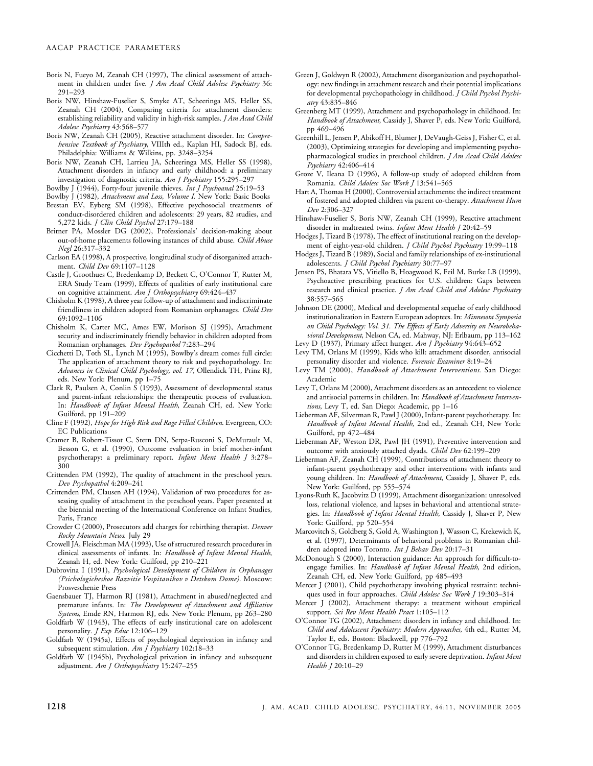- Boris N, Fueyo M, Zeanah CH (1997), The clinical assessment of attachment in children under five. J Am Acad Child Adolesc Psychiatry 36: 291–293
- Boris NW, Hinshaw-Fuselier S, Smyke AT, Scheeringa MS, Heller SS, Zeanah CH (2004), Comparing criteria for attachment disorders: establishing reliability and validity in high-risk samples. *J Am Acad Child* Adolesc Psychiatry 43:568–577
- Boris NW, Zeanah CH (2005), Reactive attachment disorder. In: Comprehensive Textbook of Psychiatry, VIIIth ed., Kaplan HI, Sadock BJ, eds. Philadelphia: Williams & Wilkins, pp. 3248–3254
- Boris NW, Zeanah CH, Larrieu JA, Scheeringa MS, Heller SS (1998), Attachment disorders in infancy and early childhood: a preliminary investigation of diagnostic criteria. Am J Psychiatry 155:295–297
- Bowlby J (1944), Forty-four juvenile thieves. Int J Psychoanal 25:19-53
- Bowlby J (1982), Attachment and Loss, Volume I. New York: Basic Books Brestan EV, Eyberg SM (1998), Effective psychosocial treatments of
- conduct-disordered children and adolescents: 29 years, 82 studies, and 5,272 kids. J Clin Child Psychol 27:179–188 Britner PA, Mossler DG (2002), Professionals' decision-making about
- out-of-home placements following instances of child abuse. Child Abuse Negl 26:317–332
- Carlson EA (1998), A prospective, longitudinal study of disorganized attachment. Child Dev 69:1107-1128
- Castle J, Groothues C, Bredenkamp D, Beckett C, O'Connor T, Rutter M, ERA Study Team (1999), Effects of qualities of early institutional care on cognitive attainment. Am J Orthopsychiatry 69:424–437
- Chisholm K (1998), A three year follow-up of attachment and indiscriminate friendliness in children adopted from Romanian orphanages. Child Dev 69:1092–1106
- Chisholm K, Carter MC, Ames EW, Morison SJ (1995), Attachment security and indiscriminately friendly behavior in children adopted from Romanian orphanages. Dev Psychopathol 7:283–294
- Cicchetti D, Toth SL, Lynch M (1995), Bowlby's dream comes full circle: The application of attachment theory to risk and psychopathology. In: Advances in Clinical Child Psychology, vol. 17, Ollendick TH, Prinz RJ, eds. New York: Plenum, pp 1–75
- Clark R, Paulsen A, Conlin S (1993), Assessment of developmental status and parent-infant relationships: the therapeutic process of evaluation. In: Handbook of Infant Mental Health, Zeanah CH, ed. New York: Guilford, pp 191–209
- Cline F (1992), Hope for High Risk and Rage Filled Children. Evergreen, CO: EC Publications
- Cramer B, Robert-Tissot C, Stern DN, Serpa-Rusconi S, DeMurault M, Besson G, et al. (1990), Outcome evaluation in brief mother-infant psychotherapy: a preliminary report. Infant Ment Health J 3:278– 300
- Crittenden PM (1992), The quality of attachment in the preschool years. Dev Psychopathol 4:209–241
- Crittenden PM, Clausen AH (1994), Validation of two procedures for assessing quality of attachment in the preschool years. Paper presented at the biennial meeting of the International Conference on Infant Studies, Paris, France
- Crowder C (2000), Prosecutors add charges for rebirthing therapist. Denver Rocky Mountain News. July 29
- Crowell JA, Fleischman MA (1993), Use of structured research procedures in clinical assessments of infants. In: Handbook of Infant Mental Health, Zeanah H, ed. New York: Guilford, pp 210–221
- Dubrovina I (1991), Psychological Development of Children in Orphanages (Psichologicheskoe Razvitie Vospitanikov v Detskom Dome). Moscow: Prosveschenie Press
- Gaensbauer TJ, Harmon RJ (1981), Attachment in abused/neglected and premature infants. In: The Development of Attachment and Affiliative Systems, Emde RN, Harmon RJ, eds. New York: Plenum, pp 263-280
- Goldfarb W (1943), The effects of early institutional care on adolescent personality. *J Exp Educ* 12:106-129
- Goldfarb W (1945a), Effects of psychological deprivation in infancy and subsequent stimulation. Am  $\hat{J}$  Psychiatry 102:18-33
- Goldfarb W (1945b), Psychological privation in infancy and subsequent adjustment. Am J Orthopsychiatry 15:247–255
- Green J, Goldwyn R (2002), Attachment disorganization and psychopathology: new findings in attachment research and their potential implications for developmental psychopathology in childhood. J Child Psychol Psychiatry 43:835–846
- Greenberg MT (1999), Attachment and psychopathology in childhood. In: Handbook of Attachment, Cassidy J, Shaver P, eds. New York: Guilford, pp 469–496
- Greenhill L, Jensen P, Abikoff H, Blumer J, DeVaugh-Geiss J, Fisher C, et al. (2003), Optimizing strategies for developing and implementing psychopharmacological studies in preschool children. J Am Acad Child Adolesc Psychiatry 42:406–414
- Groze V, Ileana D (1996), A follow-up study of adopted children from Romania. Child Adolesc Soc Work J 13:541–565
- Hart A, Thomas H (2000), Controversial attachments: the indirect treatment of fostered and adopted children via parent co-therapy. Attachment Hum Dev 2:306–327
- Hinshaw-Fuselier S, Boris NW, Zeanah CH (1999), Reactive attachment disorder in maltreated twins. Infant Ment Health J 20:42–59
- Hodges J, Tizard B (1978), The effect of institutional rearing on the development of eight-year-old children. J Child Psychol Psychiatry 19:99-118
- Hodges J, Tizard B (1989), Social and family relationships of ex-institutional adolescents. J Child Psychol Psychiatry 30:77–97
- Jensen PS, Bhatara VS, Vitiello B, Hoagwood K, Feil M, Burke LB (1999), Psychoactive prescribing practices for U.S. children: Gaps between research and clinical practice. J Am Acad Child and Adolesc Psychiatry 38:557–565
- Johnson DE (2000), Medical and developmental sequelae of early childhood institutionalization in Eastern European adoptees. In: Minnesota Symposia on Child Psychology: Vol. 31. The Effects of Early Adversity on Neurobehavioral Development, Nelson CA, ed. Mahway, NJ: Erlbaum, pp 113–162
- Levy D (1937), Primary affect hunger. Am J Psychiatry 94:643-652 Levy TM, Orlans M (1999), Kids who kill: attachment disorder, antisocial
- personality disorder and violence. Forensic Examiner 8:19–24
- Levy TM (2000), Handbook of Attachment Interventions. San Diego: Academic
- Levy T, Orlans M (2000), Attachment disorders as an antecedent to violence and antisocial patterns in children. In: Handbook of Attachment Interventions, Levy T, ed. San Diego: Academic, pp 1–16
- Lieberman AF, Silverman R, Pawl J (2000), Infant-parent psychotherapy. In: Handbook of Infant Mental Health, 2nd ed., Zeanah CH, New York: Guilford, pp 472–484
- Lieberman AF, Weston DR, Pawl JH (1991), Preventive intervention and outcome with anxiously attached dyads. Child Dev 62:199–209
- Lieberman AF, Zeanah CH (1999), Contributions of attachment theory to infant-parent psychotherapy and other interventions with infants and young children. In: Handbook of Attachment, Cassidy J, Shaver P, eds. New York: Guilford, pp 555–574
- Lyons-Ruth K, Jacobvitz D (1999), Attachment disorganization: unresolved loss, relational violence, and lapses in behavioral and attentional strategies. In: Handbook of Infant Mental Health, Cassidy J, Shaver P, New York: Guilford, pp 520–554
- Marcovitch S, Goldberg S, Gold A, Washington J, Wasson C, Krekewich K, et al. (1997), Determinants of behavioral problems in Romanian children adopted into Toronto. Int J Behav Dev 20:17–31
- McDonough S (2000), Interaction guidance: An approach for difficult-toengage families. In: Handbook of Infant Mental Health, 2nd edition, Zeanah CH, ed. New York: Guilford, pp 485–493
- Mercer J (2001), Child psychotherapy involving physical restraint: techniques used in four approaches. Child Adolesc Soc Work J 19:303–314
- Mercer J (2002), Attachment therapy: a treatment without empirical support. Sci Rev Ment Health Pract 1:105-112
- O'Connor TG (2002), Attachment disorders in infancy and childhood. In: Child and Adolescent Psychiatry: Modern Approaches, 4th ed., Rutter M, Taylor E, eds. Boston: Blackwell, pp 776–792
- O'Connor TG, Bredenkamp D, Rutter M (1999), Attachment disturbances and disorders in children exposed to early severe deprivation. Infant Ment Health J 20:10–29